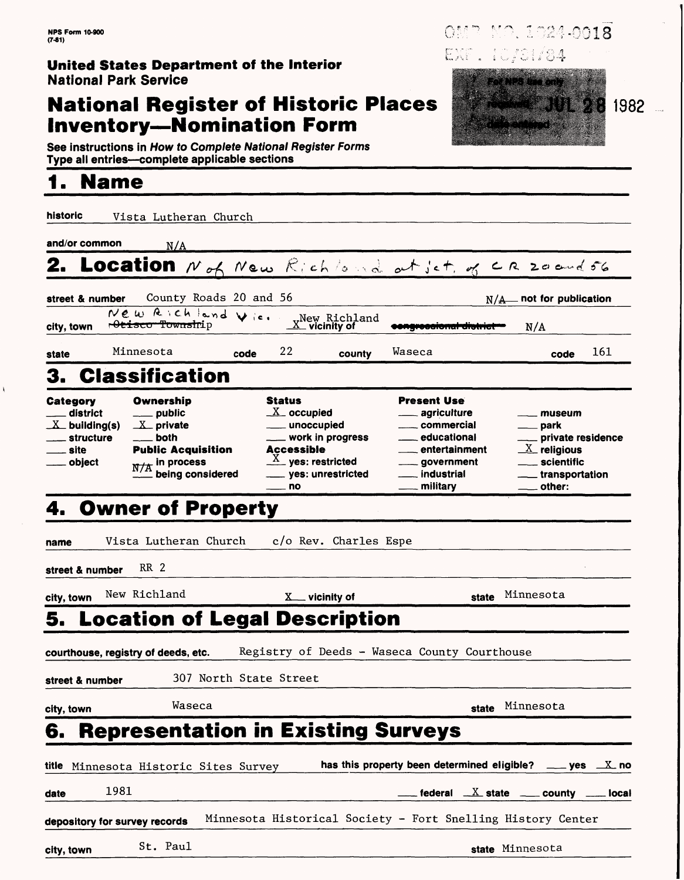### **United States Department of the Interior** National Park Service

### **National Register of Historic Places Inventory—Nomination Form**

**See** instructions in How to Complete National Register Forms Type all entries—complete applicable sections

## **1. Name**

 $\bar{\mathbf{k}}$ 

| historic                                                                   |      |                                                                | Vista Lutheran Church                                      |      |                                                                            |                                                                                         |        |                                                                                                                                                                      |       |                                                                                                                                                       |                        |
|----------------------------------------------------------------------------|------|----------------------------------------------------------------|------------------------------------------------------------|------|----------------------------------------------------------------------------|-----------------------------------------------------------------------------------------|--------|----------------------------------------------------------------------------------------------------------------------------------------------------------------------|-------|-------------------------------------------------------------------------------------------------------------------------------------------------------|------------------------|
| and/or common                                                              |      | N/A                                                            |                                                            |      |                                                                            |                                                                                         |        |                                                                                                                                                                      |       |                                                                                                                                                       |                        |
|                                                                            |      |                                                                |                                                            |      |                                                                            | Location Not New Richlond at ict, of CR 20 and 56                                       |        |                                                                                                                                                                      |       |                                                                                                                                                       |                        |
| street & number                                                            |      |                                                                | County Roads 20 and 56                                     |      |                                                                            |                                                                                         |        |                                                                                                                                                                      |       | $N/A$ not for publication                                                                                                                             |                        |
| city, town                                                                 |      | <del>Peisco Townsh</del> ip                                    | New Richland Vic.                                          |      |                                                                            | "New Richland<br>$\underline{X}$ vicinity of                                            |        | congroceromar district                                                                                                                                               |       | $N/\Lambda$                                                                                                                                           |                        |
| state                                                                      |      | Minnesota                                                      |                                                            | code | 22                                                                         | county                                                                                  | Waseca |                                                                                                                                                                      |       | code                                                                                                                                                  | 161                    |
| З.                                                                         |      |                                                                | <b>Classification</b>                                      |      |                                                                            |                                                                                         |        |                                                                                                                                                                      |       |                                                                                                                                                       |                        |
| Category<br>district<br>$X$ building(s)<br>. structure<br>_ site<br>object |      | Ownership<br>public<br>$X$ private<br>both<br>$N/A$ in process | <b>Public Acquisition</b><br>$\mathbf{r}$ being considered |      | <b>Status</b><br>$X_{-}$ occupied<br>____ unoccupied<br>Accessible<br>. no | <u>_</u> __ work in progress<br>$\frac{X}{X}$ yes: restricted<br>____ yes: unrestricted |        | <b>Present Use</b><br>agriculture<br>____ commercial<br><sub>—</sub> educational<br><sub>—</sub> entertainment<br>_government<br><sub>—</sub> industrial<br>military |       | __ museum<br><sub>__</sub> __ park<br>_ private residence<br>$\underline{X}$ religious<br>___ scientific<br><sub>__</sub> __ transportation<br>other: |                        |
| 4. Owner of Property                                                       |      |                                                                |                                                            |      |                                                                            |                                                                                         |        |                                                                                                                                                                      |       |                                                                                                                                                       |                        |
| name                                                                       |      |                                                                | Vista Lutheran Church                                      |      |                                                                            | c/o Rev. Charles Espe                                                                   |        |                                                                                                                                                                      |       |                                                                                                                                                       |                        |
| street & number                                                            |      | RR 2                                                           |                                                            |      |                                                                            |                                                                                         |        |                                                                                                                                                                      |       |                                                                                                                                                       |                        |
| city, town                                                                 |      | New Richland                                                   |                                                            |      |                                                                            | X <sub>__</sub> vicinity of                                                             |        |                                                                                                                                                                      | state | Minnesota                                                                                                                                             |                        |
|                                                                            |      |                                                                |                                                            |      |                                                                            | 5. Location of Legal Description                                                        |        |                                                                                                                                                                      |       |                                                                                                                                                       |                        |
| courthouse, registry of deeds, etc.                                        |      |                                                                |                                                            |      |                                                                            | Registry of Deeds - Waseca County Courthouse                                            |        |                                                                                                                                                                      |       |                                                                                                                                                       |                        |
| street & number                                                            |      |                                                                | 307 North State Street                                     |      |                                                                            |                                                                                         |        |                                                                                                                                                                      |       |                                                                                                                                                       |                        |
| city, town                                                                 |      |                                                                | Waseca                                                     |      |                                                                            |                                                                                         |        |                                                                                                                                                                      | state | Minnesota                                                                                                                                             |                        |
| 6.                                                                         |      |                                                                |                                                            |      |                                                                            | <b>Representation in Existing Surveys</b>                                               |        |                                                                                                                                                                      |       |                                                                                                                                                       |                        |
| title                                                                      |      |                                                                | Minnesota Historic Sites Survey                            |      |                                                                            | has this property been determined eligible?                                             |        |                                                                                                                                                                      |       |                                                                                                                                                       | $\mathbf{X}$ no<br>yes |
| date                                                                       | 1981 |                                                                |                                                            |      |                                                                            |                                                                                         |        | federal $X$ state $-$                                                                                                                                                |       | county                                                                                                                                                | iocal                  |
|                                                                            |      |                                                                |                                                            |      |                                                                            | Minnesota Historical Society - Fort Snelling History Center                             |        |                                                                                                                                                                      |       |                                                                                                                                                       |                        |
| depository for survey records                                              |      |                                                                |                                                            |      |                                                                            |                                                                                         |        |                                                                                                                                                                      |       |                                                                                                                                                       |                        |
| city, town                                                                 |      | St. Paul                                                       |                                                            |      |                                                                            |                                                                                         |        |                                                                                                                                                                      |       | state Minnesota                                                                                                                                       |                        |

28 1982

OMP MP. 1024-0018

Feature of the Contract of the

EXF. 10/01/84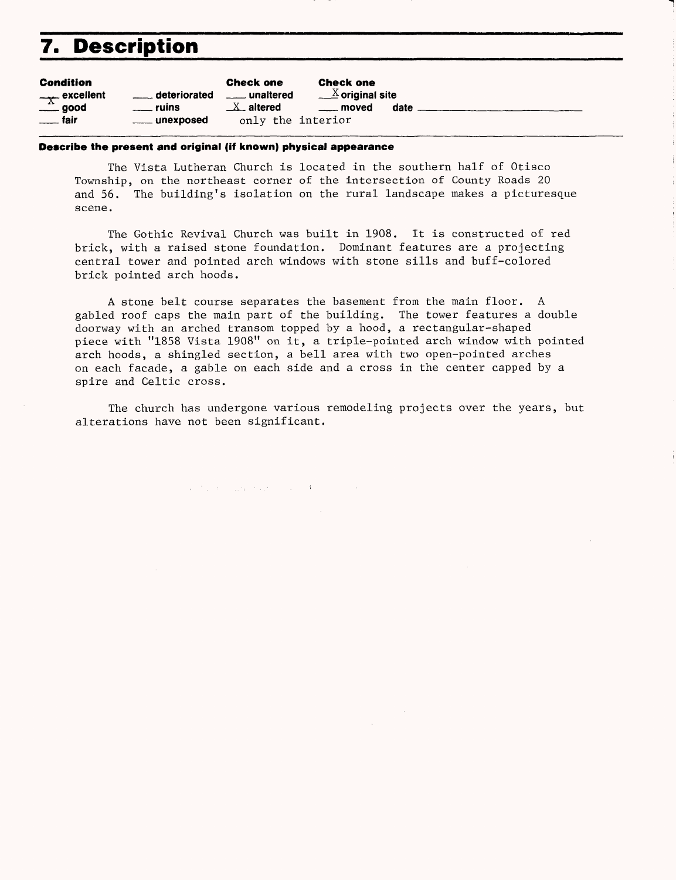### **7. Description**

| <b>Condition</b>        |                                                 | <b>Check one</b>  | <b>Check one</b>              |      |
|-------------------------|-------------------------------------------------|-------------------|-------------------------------|------|
| $\frac{1}{x}$ excellent | <b>Example 1</b> deteriorated<br>____ unaltered |                   | $\underline{X}$ original site |      |
| $\equiv$ good           | <u>_</u> ___ ruins                              | $X$ altered       | <u>_</u> __ moved             | date |
| <u>___</u> fair         | _____ unexposed                                 | only the interior |                               |      |

#### **Describe the present and original (if known) physical appearance**

The Vista Lutheran Church is located in the southern half of Otisco Township, on the northeast corner of the intersection of County Roads 20 and 56. The building's isolation on the rural landscape makes a picturesque scene.

The Gothic Revival Church was built in 1908. It is constructed of red brick, with a raised stone foundation. Dominant features are a projecting central tower and pointed arch windows with stone sills and buff-colored brick pointed arch hoods.

A stone belt course separates the basement from the main floor. A gabled roof caps the main part of the building. The tower features a double doorway with an arched transom topped by a hood, a rectangular-shaped piece with "1858 Vista 1908" on it, a triple-pointed arch window with pointed arch hoods, a shingled section, a bell area with two open-pointed arches on each facade, a gable on each side and a cross in the center capped by a spire and Celtic cross.

The church has undergone various remodeling projects over the years, but alterations have not been significant.

and the company of the company of the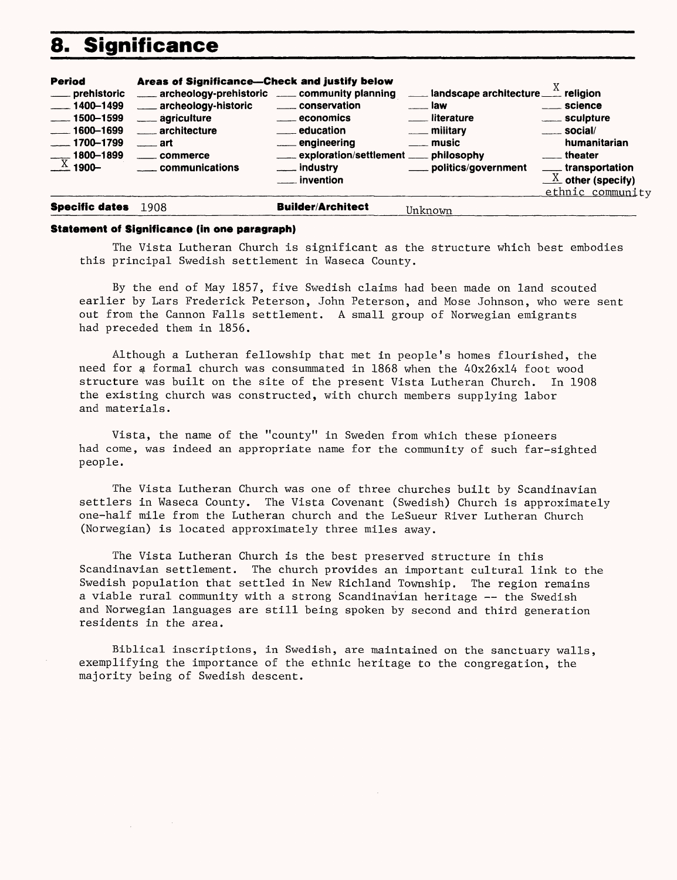### **8. Significance**

| <b>Period</b><br>____ prehistoric<br>$-1400-1499$<br>$\frac{1}{2}$ 1500–1599<br>$-- 1600 - 1699$<br>$-1700 - 1799$<br>$\frac{1800 - 1899}{X}$ 1900- | Areas of Significance-Check and justify below<br>archeology-prehistoric ___ community planning<br>archeology-historic<br>____ agriculture<br>architecture<br>$\frac{1}{2}$ art<br>_____ commerce<br>communications | _____ conservation<br><u>__</u> economics<br><u>__</u> __ education<br>engineering<br>____ exploration/settlement ____ philosophy<br>___ industry<br>__ invention | <b>Example 1 andscape architecture</b> $\frac{X}{X}$ religion<br>—— law<br><u>__</u> __ literature<br><u>_</u> __ military<br><u>__</u> _ music<br>politics/government | $\frac{1}{2}$ science<br>_____ sculpture<br>$\frac{1}{2}$ social/<br>humanitarian<br>____ theater<br>____transportation<br>$\underline{X}$ other (specify)<br>ethnic community |
|-----------------------------------------------------------------------------------------------------------------------------------------------------|--------------------------------------------------------------------------------------------------------------------------------------------------------------------------------------------------------------------|-------------------------------------------------------------------------------------------------------------------------------------------------------------------|------------------------------------------------------------------------------------------------------------------------------------------------------------------------|--------------------------------------------------------------------------------------------------------------------------------------------------------------------------------|
| <b>Specific dates</b>                                                                                                                               | 1908                                                                                                                                                                                                               | <b>Builder/Architect</b>                                                                                                                                          | Unknown                                                                                                                                                                |                                                                                                                                                                                |

#### **Statement of Significance (in one paragraph)**

The Vista Lutheran Church is significant as the structure which best embodies this principal Swedish settlement in Waseca County.

By the end of May 1857, five Swedish claims had been made on land scouted earlier by Lars Frederick Peterson, John Peterson, and Mose Johnson, who were sent out from the Cannon Falls settlement. A small group of Norwegian emigrants had preceded them in 1856.

Although a Lutheran fellowship that met in people's homes flourished, the need for  $a$  formal church was consummated in  $1868$  when the  $40x26x14$  foot wood structure was built on the site of the present Vista Lutheran Church. In 1908 the existing church was constructed, with church members supplying labor and materials.

Vista, the name of the "county" in Sweden from which these pioneers had come, was indeed an appropriate name for the community of such far-sighted people.

The Vista Lutheran Church was one of three churches built by Scandinavian settlers in Waseca County. The Vista Covenant (Swedish) Church is approximately one-half mile from the Lutheran church and the LeSueur River Lutheran Church (Norwegian) is located approximately three miles away.

The Vista Lutheran Church is the best preserved structure in this Scandinavian settlement. The church provides an important cultural link to the Swedish population that settled in New Richland Township. The region remains a viable rural community with a strong Scandinavian heritage — the Swedish and Norwegian languages are still being spoken by second and third generation residents in the area.

Biblical inscriptions, in Swedish, are maintained on the sanctuary walls, exemplifying the importance of the ethnic heritage to the congregation, the majority being of Swedish descent.